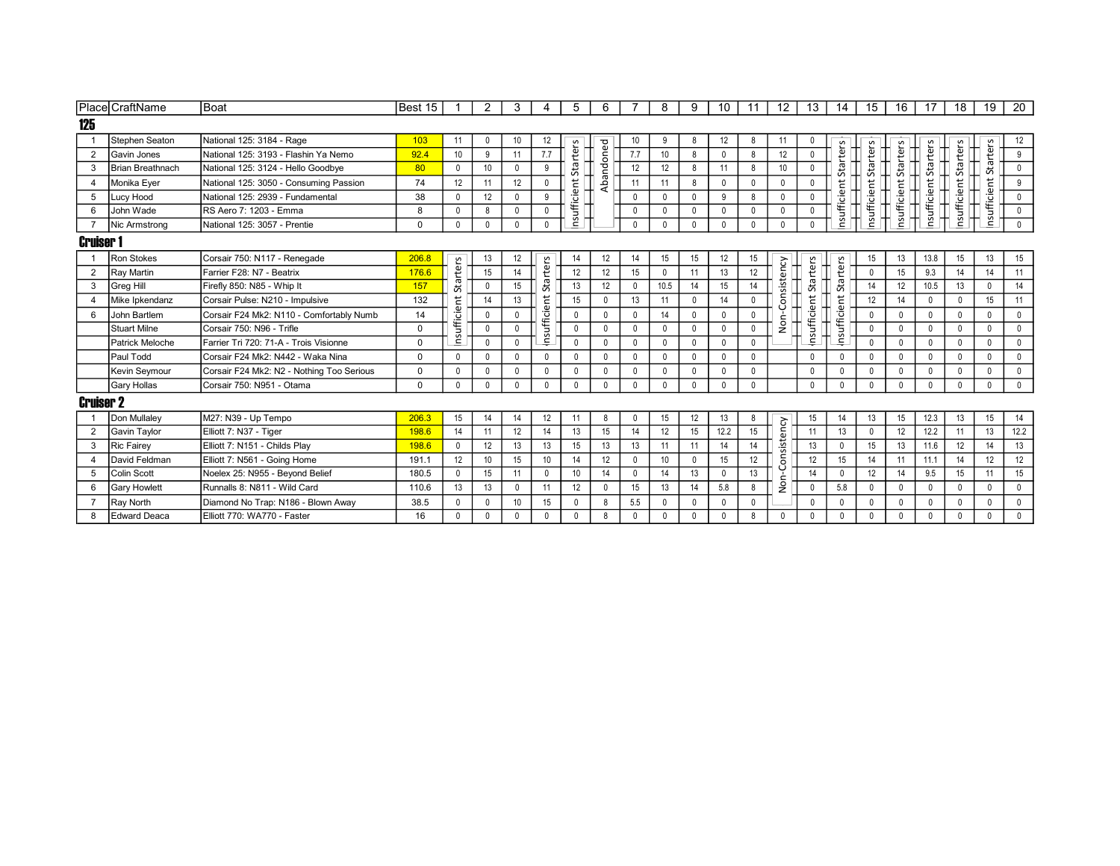|                  | Place CraftName    | Boat                                      | Best 15      | -1              | 2               | 3            | 4            | 5               | 6            |                  | 8               | 9            | 10 <sup>°</sup> | 11           | 12              | 13              | 14                  | 15              | 16           | 17            | 18            | 19           | 20           |  |
|------------------|--------------------|-------------------------------------------|--------------|-----------------|-----------------|--------------|--------------|-----------------|--------------|------------------|-----------------|--------------|-----------------|--------------|-----------------|-----------------|---------------------|-----------------|--------------|---------------|---------------|--------------|--------------|--|
| 125              |                    |                                           |              |                 |                 |              |              |                 |              |                  |                 |              |                 |              |                 |                 |                     |                 |              |               |               |              |              |  |
|                  | Stephen Seaton     | National 125: 3184 - Rage                 | 103          | 11              | $\mathbf 0$     | 10           | 12           |                 |              | 10               | 9               | 8            | 12              | 8            | 11              | $\mathbf{0}$    |                     |                 |              |               |               |              | 12           |  |
| $\overline{2}$   | Gavin Jones        | National 125: 3193 - Flashin Ya Nemo      | 92.4         | 10              | 9               | 11           | 7.7          |                 |              | 7.7              | 10 <sup>1</sup> | 8            | $\mathbf{0}$    | 8            | 12              | $\mathbf{0}$    |                     |                 |              |               |               |              | 9            |  |
| 3                | Brian Breathnach   | National 125: 3124 - Hello Goodbve        | 80           | 0               | 10 <sup>°</sup> | $\mathbf 0$  | 9            | Starters        | Abandoned    | 12               | 12              | 8            | 11              | 8            | 10 <sup>°</sup> | $\mathbf{0}$    | <b>Starters</b>     | <b>Starters</b> | Starters     | Starters      | Starters      | Starters     | $\mathbf 0$  |  |
| $\overline{4}$   | Monika Eyer        | National 125: 3050 - Consuming Passion    | 74           | 12              | 11              | 12           | $\mathbf 0$  |                 |              | 11               | 11              | 8            | $\mathbf{0}$    | $\mathbf{0}$ | $\mathbf{0}$    | $\mathbf{0}$    |                     |                 |              |               |               |              | 9            |  |
| 5                | Lucy Hood          | National 125: 2939 - Fundamental          | 38           | 0               | 12              |              | 9            |                 |              |                  |                 | $\Omega$     | 9               | 8            | $\Omega$        | $\Omega$        |                     |                 |              |               |               |              | $\mathbf 0$  |  |
| 6                | John Wade          | RS Aero 7: 1203 - Emma                    | 8            | 0               | 8               | $\mathbf 0$  | $\mathbf 0$  | nsufficient     |              | $\mathbf 0$      | $\mathbf 0$     | $\mathbf{0}$ | $\mathbf{0}$    | $\Omega$     | $\mathbf{0}$    | $\mathbf{0}$    | nsufficient         | nsufficient     | nsufficient  | nsufficient ! | nsufficient : | nsufficient  | $\mathbf 0$  |  |
|                  | Nic Armstrong      | National 125: 3057 - Prentie              | $\Omega$     | 0               | 0               | $\mathbf{0}$ | $\Omega$     |                 |              |                  |                 |              | $\bigcap$       | $\Omega$     | $\Omega$        |                 |                     |                 |              |               |               |              | $\mathbf{0}$ |  |
|                  | <b>Cruiser 1</b>   |                                           |              |                 |                 |              |              |                 |              |                  |                 |              |                 |              |                 |                 |                     |                 |              |               |               |              |              |  |
|                  | Ron Stokes         | Corsair 750: N117 - Renegade              | 206.8        |                 | 13              | 12           |              | 14              | 12           | 14               | 15              | 15           | 12              | 15           |                 |                 |                     | 15              | 13           | 13.8          | 15            | 13           | 15           |  |
| $\overline{2}$   | Ray Martin         | Farrier F28: N7 - Beatrix                 | 176.6        | <b>Starters</b> | 15              | 14           | rters        | 12              | 12           | 15               | $\mathbf{0}$    | 11           | 13              | 12           | ency            | <b>Starters</b> | <b>Starters</b>     | $\mathbf 0$     | 15           | 9.3           | 14            | 14           | 11           |  |
| 3                | Greg Hill          | Firefly 850: N85 - Whip It                | 157          |                 | 0               | 15           | Stā          | 13              | 12           | $\Omega$         | 10.5            | 14           | 15              | 14           | onsist          |                 |                     | 14              | 12           | 10.5          | 13            | $\mathbf{0}$ | 14           |  |
|                  | Mike Ipkendanz     | Corsair Pulse: N210 - Impulsive           | 132          |                 | 14              | 13           | だ            | 15              | $\mathbf{0}$ | 13               | 11              | $\mathbf{0}$ | 14              | $\Omega$     |                 |                 |                     | 12              | 14           | $\Omega$      | $\Omega$      | 15           | 11           |  |
| 6                | John Bartlem       | Corsair F24 Mk2: N110 - Comfortably Numb  | 14           | nsufficient     | 0               | $\Omega$     |              | $\mathbf 0$     |              | $\Omega$         | 14              |              | $\Omega$        |              |                 | nsufficient     | <b>Insufficient</b> | $\mathbf{0}$    | $\mathbf{0}$ |               |               | $\mathbf 0$  | $\mathbf 0$  |  |
|                  | Stuart Milne       | Corsair 750: N96 - Trifle                 | $\mathbf 0$  |                 | 0               | $\mathbf{0}$ | iufficie     | $\mathbf 0$     | $\mathbf{0}$ | $\Omega$         | $\mathbf{0}$    | $^{\circ}$   | $\mathbf{0}$    | $\mathbf 0$  | Non-            |                 |                     | $\mathbf 0$     | $\mathbf 0$  | $\Omega$      | $\mathbf{0}$  | $^{\circ}$   | $\mathbf 0$  |  |
|                  | Patrick Meloche    | Farrier Tri 720: 71-A - Trois Visionne    | $\mathbf 0$  |                 | $\mathbf 0$     | $\mathbf{0}$ | ٤            | $\mathbf 0$     | $\mathbf{0}$ | $\mathbf{0}$     | $\mathbf{0}$    | $\mathbf{0}$ | $\Omega$        | $\Omega$     |                 |                 |                     | $\mathbf{0}$    | $\mathbf{0}$ | $\Omega$      | $\Omega$      | $\mathbf{0}$ | $\mathbf 0$  |  |
|                  | Paul Todd          | Corsair F24 Mk2: N442 - Waka Nina         | $\mathbf{0}$ | $\mathbf{0}$    | $\mathbf{0}$    | $\mathbf{0}$ | $\Omega$     | $\Omega$        | $\Omega$     | $\Omega$         | $\Omega$        | $\mathbf{0}$ | $\Omega$        | $\Omega$     |                 | $\Omega$        | $\Omega$            | $\mathbf{0}$    | $\mathbf{0}$ |               |               | $\Omega$     | $\mathbf 0$  |  |
|                  | Kevin Seymour      | Corsair F24 Mk2: N2 - Nothing Too Serious | $\mathbf 0$  | 0               | 0               |              |              |                 |              |                  |                 |              |                 | $\Omega$     |                 | $\Omega$        | $\Omega$            |                 | $\theta$     |               |               | $\mathbf{0}$ | $\mathbf 0$  |  |
|                  | <b>Gary Hollas</b> | Corsair 750: N951 - Otama                 | $\Omega$     | $\mathbf{0}$    | $\mathbf{0}$    | $\mathbf{0}$ | $\Omega$     | $\Omega$        |              |                  |                 | $\Omega$     | $\cap$          | $\Omega$     |                 | $\Omega$        | $\mathbf{0}$        | $\mathbf{0}$    | $\Omega$     |               | $\Omega$      | $\Omega$     | $\Omega$     |  |
| <b>Cruiser 2</b> |                    |                                           |              |                 |                 |              |              |                 |              |                  |                 |              |                 |              |                 |                 |                     |                 |              |               |               |              |              |  |
|                  | Don Mullaley       | M27: N39 - Up Tempo                       | 206.3        | 15              | 14              | 14           | 12           | 11              | 8            | $\Omega$         | 15              | 12           | 13              | 8            |                 | 15              | 14                  | 13              | 15           | 12.3          | 13            | 15           | 14           |  |
| $\overline{2}$   | Gavin Taylor       | Elliott 7: N37 - Tiger                    | 198.6        | 14              | 11              | 12           | 14           | 13              | 15           | 14               | 12              | 15           | 12.2            | 15           |                 | 11              | 13                  | $\mathbf{0}$    | 12           | 12.2          | 11            | 13           | 12.2         |  |
| 3                | Ric Fairey         | Elliott 7: N151 - Childs Play             | 198.6        | 0               | 12              | 13           | 13           | 15              | 13           | 13               | 11              | 11           | 14              | 14           | sistency        | 13              | $\Omega$            | 15              | 13           | 11.6          | 12            | 14           | 13           |  |
|                  | David Feldman      | Elliott 7: N561 - Going Home              | 191.1        | 12              | 10              | 15           | 10           | 14              | 12           | $\mathbf{0}$     | 10 <sup>1</sup> | $\mathbf 0$  | 15              | 12           | δñ              | 12              | 15                  | 14              | 11           | 11.1          | 14            | 12           | 12           |  |
| 5                | Colin Scott        | Noelex 25: N955 - Beyond Belief           | 180.5        | 0               | 15              | 11           | $\mathsf{O}$ | 10 <sup>°</sup> | 14           |                  | 14              | 13           |                 | 13           |                 | 14              | $\mathbf 0$         | 12              | 14           | 9.5           | 15            | 11           | 15           |  |
| 6                | Gary Howlett       | Runnalls 8: N811 - Wild Card              | 110.6        | 13              | 13              | $\mathbf{0}$ | 11           | 12              | 0            | 15 <sup>15</sup> | 13              | 14           | 5.8             | 8            | š               | $\mathbf 0$     | 5.8                 | $\mathbf 0$     | $\mathbf 0$  | $\mathbf 0$   | $\mathbf 0$   | $^{\circ}$   | $\mathbf 0$  |  |
|                  | Ray North          | Diamond No Trap: N186 - Blown Away        | 38.5         | $\mathbf{0}$    | $\mathbf{0}$    | 10           | 15           |                 |              | 5.5              |                 |              |                 | $\bigcap$    |                 | $\Omega$        |                     | $\Omega$        |              |               |               | $\Omega$     | $\mathbf 0$  |  |
| 8                | Edward Deaca       | Elliott 770: WA770 - Faster               | 16           | 0               | 0               | 0            | $\mathbf{0}$ | $\mathbf{0}$    |              |                  |                 | $\Omega$     | $\Omega$        | 8            | $\Omega$        | $\theta$        | $\mathbf 0$         | $\mathbf{0}$    | $\mathbf{0}$ | $\Omega$      | $\mathbf{0}$  | $\mathbf 0$  | $\mathbf 0$  |  |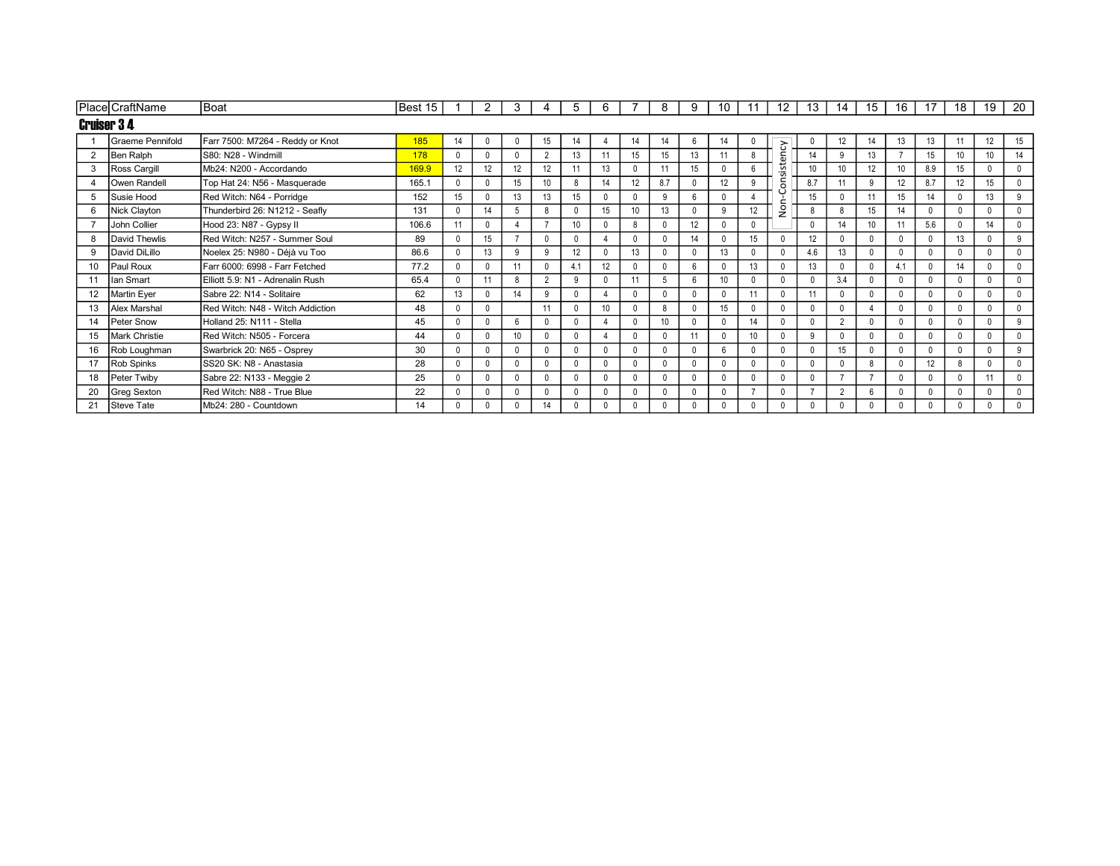|                   | Place CraftName  | Boat                             | Best 15 |    |              | 3               |              | 5                | 6        |              | 8               | 9            | 10              |              | 12             | 13             | 14             | 15              | 16           |     | 18              | 19           | 20           |
|-------------------|------------------|----------------------------------|---------|----|--------------|-----------------|--------------|------------------|----------|--------------|-----------------|--------------|-----------------|--------------|----------------|----------------|----------------|-----------------|--------------|-----|-----------------|--------------|--------------|
| <b>Cruiser 34</b> |                  |                                  |         |    |              |                 |              |                  |          |              |                 |              |                 |              |                |                |                |                 |              |     |                 |              |              |
|                   | Graeme Pennifold | Farr 7500: M7264 - Reddy or Knot | 185     | 14 | $\mathbf{0}$ | $\Omega$        | 15           | 14               | 4        | 14           | 14              | 6            | 14              | 0            |                | $\Omega$       | 12             | 14              | 13           | 13  | 11              | 12           | 15           |
| 2                 | Ben Ralph        | S80: N28 - Windmill              | 178     |    | $\mathbf{0}$ | $\Omega$        |              | 13               | 11       | 15           | 15              | 13           |                 | 8            | ency           | 14             |                | 13              |              | 15  | 10 <sup>1</sup> | 10           | 14           |
| 3                 | Ross Cargill     | Mb24: N200 - Accordando          | 169.9   | 12 | 12           | 12              | 12           | 11               | 13       | $\mathbf{0}$ | 11              | 15           |                 | 6            | sist           | 10             | 10             | 12 <sup>°</sup> | 10           | 8.9 | 15              | $\mathbf{0}$ | $\mathbf 0$  |
| 4                 | Owen Randell     | Top Hat 24: N56 - Masquerade     | 165.1   |    | $\Omega$     | 15              | 10           |                  | 14       | 12           | 8.7             | $\mathbf{0}$ | 12              | 9            | ã              | 8.7            |                | 9               | 12           | 8.7 | 12              | 15           | $\mathbf 0$  |
| 5                 | Susie Hood       | Red Witch: N64 - Porridge        | 152     | 15 | $\mathbf{0}$ | 13              | 13           | 15               |          |              | q               | 6            |                 |              | ٻ              | 15             |                | 11              | 15           | 14  |                 | 13           | 9            |
| 6                 | Nick Clayton     | Thunderbird 26: N1212 - Seafly   | 131     |    | 14           | 5               | $\mathbf{g}$ |                  | 15       | 10           | 13              | $\mathbf{0}$ | 9               | 12           | S <sub>o</sub> | 8              |                | 15              | 14           |     | $\Omega$        | $\mathbf{0}$ | $\mathbf 0$  |
|                   | John Collier     | Hood 23: N87 - Gypsy II          | 106.6   |    | $\Omega$     |                 |              | 10 <sup>10</sup> |          | 8            |                 | 12           |                 | $\mathbf{0}$ |                |                | 14             | 10              | 11           | 5.6 |                 | 14           | $\mathbf 0$  |
| 8                 | David Thewlis    | Red Witch: N257 - Summer Soul    | 89      |    | 15           | $\overline{7}$  | $\Omega$     |                  |          | $\Omega$     |                 | 14           |                 | 15           | $\Omega$       | 12             |                | $\Omega$        | $\mathbf{0}$ |     | 13              | $\mathbf{0}$ | 9            |
| 9                 | David DiLillo    | Noelex 25: N980 - Déjà vu Too    | 86.6    |    | 13           | 9               | $\circ$      | 12               |          | 13           |                 | $\Omega$     | 13              | $\mathbf{0}$ | $\Omega$       | 4.6            | 13             |                 | $\Omega$     |     | $\Omega$        | $\mathbf{0}$ | $\mathbf 0$  |
| 10                | Paul Roux        | Farr 6000: 6998 - Farr Fetched   | 77.2    |    | $\Omega$     | 11              |              | 4.1              | 12       | $\Omega$     |                 | 6            |                 | 13           |                | 13             |                |                 | 4.1          |     | 14              | $\mathbf{0}$ | $\mathbf 0$  |
| 11                | lan Smart        | Elliott 5.9: N1 - Adrenalin Rush | 65.4    |    | 11           | $\mathbf{g}$    | $\sim$       |                  | $\Omega$ | 11           |                 | 6            | 10              | $\Omega$     | $\Omega$       | $\Omega$       | 3.4            |                 | $\mathbf{0}$ |     |                 | $\Omega$     | $\mathbf 0$  |
| 12                | Martin Eyer      | Sabre 22: N14 - Solitaire        | 62      | 13 | $\mathbf{0}$ | 14              | <sub>9</sub> |                  |          | $\Omega$     |                 | $\mathbf{0}$ |                 | 11           | $\Omega$       | 11             |                |                 | $\mathbf{0}$ |     |                 |              | $\mathbf 0$  |
| 13                | Alex Marshal     | Red Witch: N48 - Witch Addiction | 48      |    | $\mathbf{0}$ |                 | 11           |                  | 10       | $\Omega$     |                 | $\mathbf{0}$ | 15              |              |                | $\Omega$       |                |                 | $\Omega$     |     |                 | 0            | $\mathbf 0$  |
| 14                | Peter Snow       | Holland 25: N111 - Stella        | 45      |    | $\mathbf{0}$ | 6               | $\Omega$     |                  | 4        | $\Omega$     | 10 <sup>°</sup> | $\mathbf{0}$ |                 | 14           | $\Omega$       |                | $\overline{2}$ |                 | $\mathbf 0$  |     |                 | $\mathbf{0}$ | 9            |
| 15                | Mark Christie    | Red Witch: N505 - Forcera        | 44      |    | $\Omega$     | 10 <sup>°</sup> |              |                  |          | $\Omega$     |                 | 11           |                 |              | $\Omega$       | 9              |                |                 | $\mathbf{0}$ |     |                 |              | $\mathbf{0}$ |
| 16                | Rob Loughman     | Swarbrick 20: N65 - Osprey       | 30      |    | $\mathbf{0}$ | $\Omega$        | $\Omega$     |                  | $\Omega$ | $\Omega$     |                 | $\mathbf{0}$ | $6\overline{6}$ | $\Omega$     | $\Omega$       | $\Omega$       | 15             |                 | $\mathbf 0$  |     | $\Omega$        | $\mathbf{0}$ | 9            |
| 17                | Rob Spinks       | SS20 SK: N8 - Anastasia          | 28      |    | $\Omega$     | $\Omega$        | $\Omega$     |                  | $\Omega$ | $\Omega$     |                 | $\mathbf{0}$ |                 | $\Omega$     |                |                |                | 8               | $\mathbf{0}$ | 12  |                 | $\Omega$     | $\mathbf 0$  |
| 18                | Peter Twiby      | Sabre 22: N133 - Meggie 2        | 25      |    | $\Omega$     |                 | $\Omega$     |                  |          |              |                 | $\Omega$     |                 | $\Omega$     | $\Omega$       |                |                |                 | $\Omega$     |     | $\Omega$        | 11           | $\mathbf 0$  |
| 20                | Greg Sexton      | Red Witch: N88 - True Blue       | 22      |    | $\mathbf{0}$ | $\Omega$        | $\Omega$     |                  | $\Omega$ | $\Omega$     |                 | $\mathbf{0}$ |                 |              | $\Omega$       | $\overline{z}$ | $\Omega$       | 6               | $\mathbf{0}$ |     | $\Omega$        | $\mathbf{0}$ | $\mathbf 0$  |
| 21                | Steve Tate       | Mb24: 280 - Countdown            | 14      |    | $\mathbf{0}$ |                 | 14           |                  |          |              |                 | 0            |                 |              |                | $\mathbf{0}$   |                |                 | $\Omega$     |     |                 |              | $\mathbf 0$  |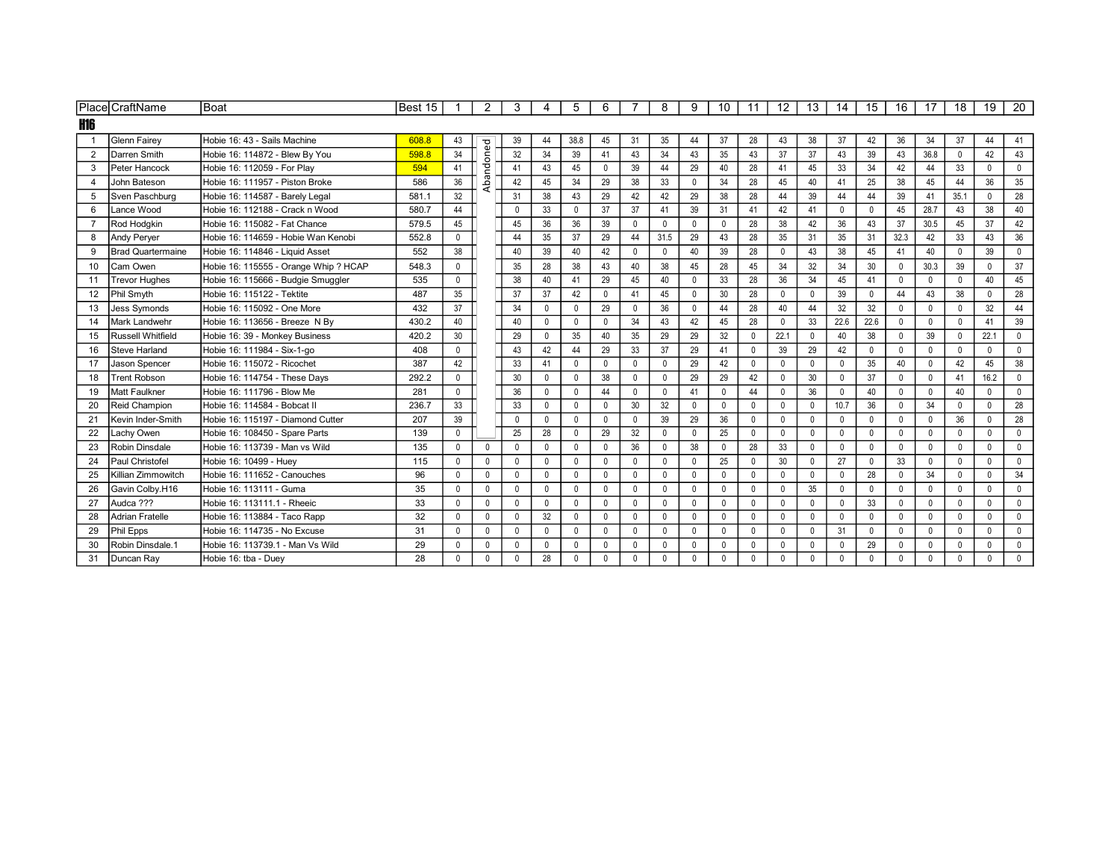|                | PlacelCraftName          | Boat                                  | Best 15 | -1           | 2            | 3            |              | 5            | 6            |              | 8            | 9            | 10           | 11           | 12           | 13           | 14           | 15           | 16           | 17           | 18           | 19           | 20           |
|----------------|--------------------------|---------------------------------------|---------|--------------|--------------|--------------|--------------|--------------|--------------|--------------|--------------|--------------|--------------|--------------|--------------|--------------|--------------|--------------|--------------|--------------|--------------|--------------|--------------|
| <b>H16</b>     |                          |                                       |         |              |              |              |              |              |              |              |              |              |              |              |              |              |              |              |              |              |              |              |              |
|                | <b>Glenn Fairey</b>      | Hobie 16: 43 - Sails Machine          | 608.8   | 43           |              | 39           | 44           | 38.8         | 45           | 31           | 35           | 44           | 37           | 28           | 43           | 38           | 37           | 42           | 36           | 34           | 37           | 44           | 41           |
| $\overline{2}$ | Darren Smith             | Hobie 16: 114872 - Blew By You        | 598.8   | 34           |              | 32           | 34           | 39           | 41           | 43           | 34           | 43           | 35           | 43           | 37           | 37           | 43           | 39           | 43           | 36.8         | $\mathbf{0}$ | 42           | 43           |
| 3              | Peter Hancock            | Hobie 16: 112059 - For Plav           | 594     | 41           | bandoned     | 41           | 43           | 45           | $\mathbf 0$  | 39           | 44           | 29           | 40           | 28           | 41           | 45           | 33           | 34           | 42           | 44           | 33           | $\mathbf 0$  | $\mathbf 0$  |
| 4              | John Bateson             | Hobie 16: 111957 - Piston Broke       | 586     | 36           |              | 42           | 45           | 34           | 29           | 38           | 33           | $\mathbf{0}$ | 34           | 28           | 45           | 40           | 41           | 25           | 38           | 45           | 44           | 36           | 35           |
| 5              | Sven Paschburg           | Hobie 16: 114587 - Barely Legal       | 581.1   | 32           |              | 31           | 38           | 43           | 29           | 42           | 42           | 29           | 38           | 28           | 44           | 39           | 44           | 44           | 39           | 41           | 35.1         | $\mathbf 0$  | 28           |
| 6              | Lance Wood               | Hobie 16: 112188 - Crack n Wood       | 580.7   | 44           |              | $\mathbf 0$  | 33           | $\mathbf{0}$ | 37           | 37           | 41           | 39           | 31           | 41           | 42           | 41           | $\mathbf{0}$ | $\mathbf{0}$ | 45           | 28.7         | 43           | 38           | 40           |
| $\overline{7}$ | Rod Hodgkin              | Hobie 16: 115082 - Fat Chance         | 579.5   | 45           |              | 45           | 36           | 36           | 39           | $\mathbf{0}$ | $\mathbf{0}$ | 0            | $\mathbf{0}$ | 28           | 38           | 42           | 36           | 43           | 37           | 30.5         | 45           | 37           | 42           |
| 8              | <b>Andy Perver</b>       | Hobie 16: 114659 - Hobie Wan Kenobi   | 552.8   | $\mathbf{0}$ |              | 44           | 35           | 37           | 29           | 44           | 31.5         | 29           | 43           | 28           | 35           | 31           | 35           | 31           | 32.3         | 42           | 33           | 43           | 36           |
| 9              | <b>Brad Quartermaine</b> | Hobie 16: 114846 - Liquid Asset       | 552     | 38           |              | 40           | 39           | 40           | 42           | $\mathbf 0$  | $\mathbf{0}$ | 40           | 39           | 28           | $\mathbf{0}$ | 43           | 38           | 45           | 41           | 40           | $\mathbf{0}$ | 39           | $\mathbf 0$  |
| 10             | Cam Owen                 | Hobie 16: 115555 - Orange Whip ? HCAP | 548.3   | 0            |              | 35           | 28           | 38           | 43           | 40           | 38           | 45           | 28           | 45           | 34           | 32           | 34           | 30           | $\mathbf 0$  | 30.3         | 39           | $\mathbf 0$  | 37           |
| 11             | <b>Trevor Hughes</b>     | Hobie 16: 115666 - Budgie Smuggler    | 535     | $\mathbf{0}$ |              | 38           | 40           | 41           | 29           | 45           | 40           | $\Omega$     | 33           | 28           | 36           | 34           | 45           | 41           | $\mathbf{0}$ | $\mathbf{0}$ | $\Omega$     | 40           | 45           |
| 12             | Phil Smyth               | Hobie 16: 115122 - Tektite            | 487     | 35           |              | 37           | 37           | 42           | $\mathbf{0}$ | 41           | 45           | $\mathbf{0}$ | 30           | 28           | $\mathbf{0}$ | $\mathbf{0}$ | 39           | $\Omega$     | 44           | 43           | 38           | $\mathbf{0}$ | 28           |
| 13             | <b>Jess Symonds</b>      | Hobie 16: 115092 - One More           | 432     | 37           |              | 34           | $\Omega$     | $\mathbf 0$  | 29           | $\mathbf 0$  | 36           | $\mathbf{0}$ | 44           | 28           | 40           | 44           | 32           | 32           | $\mathbf{0}$ | $\mathbf 0$  | $\mathbf{0}$ | 32           | 44           |
| 14             | Mark Landwehr            | Hobie 16: 113656 - Breeze N By        | 430.2   | 40           |              | 40           | $\Omega$     | $\mathbf{0}$ | $\mathbf{0}$ | 34           | 43           | 42           | 45           | 28           | $\mathbf{0}$ | 33           | 22.6         | 22.6         | $\mathbf{0}$ | $\mathbf{0}$ |              | 41           | 39           |
| 15             | <b>Russell Whitfield</b> | Hobie 16: 39 - Monkey Business        | 420.2   | 30           |              | 29           | $\Omega$     | 35           | 40           | 35           | 29           | 29           | 32           | $\Omega$     | 22.1         | $\mathbf{0}$ | 40           | 38           | $\mathbf{0}$ | 39           | $\Omega$     | 22.1         | $\mathbf 0$  |
| 16             | <b>Steve Harland</b>     | Hobie 16: 111984 - Six-1-go           | 408     | $\mathbf{0}$ |              | 43           | 42           | 44           | 29           | 33           | 37           | 29           | 41           | $\Omega$     | 39           | 29           | 42           | $\mathbf 0$  | $\mathbf 0$  | $\Omega$     | $\mathbf{0}$ | $\mathbf{0}$ | $\mathbf 0$  |
| 17             | Jason Spencer            | Hobie 16: 115072 - Ricochet           | 387     | 42           |              | 33           | 41           | $\mathbf 0$  | $\mathbf 0$  | $\mathbf 0$  | $\mathbf{0}$ | 29           | 42           | $\mathbf{0}$ | $\mathbf 0$  | $\mathbf 0$  | $\Omega$     | 35           | 40           | $\mathbf 0$  | 42           | 45           | 38           |
| 18             | <b>Trent Robson</b>      | Hobie 16: 114754 - These Davs         | 292.2   | $\mathbf{0}$ |              | 30           | $\Omega$     | $\mathbf{0}$ | 38           | $\mathbf 0$  |              | 29           | 29           | 42           | $\mathbf{0}$ | 30           | $\Omega$     | 37           | $\mathbf 0$  | $\mathbf{0}$ | 41           | 16.2         | $\mathbf 0$  |
| 19             | Matt Faulkner            | Hobie 16: 111796 - Blow Me            | 281     | $\mathbf{0}$ |              | 36           | $\Omega$     | $\mathbf 0$  | 44           | $\mathbf{0}$ | $\Omega$     | 41           | $\mathbf{0}$ | 44           | $\mathbf{0}$ | 36           | $\mathbf{0}$ | 40           | $\mathbf{0}$ | $\mathbf 0$  | 40           | $\mathbf 0$  | $\mathbf 0$  |
| 20             | Reid Champion            | Hobie 16: 114584 - Bobcat II          | 236.7   | 33           |              | 33           | $\Omega$     | $\mathbf 0$  | $\mathbf{0}$ | 30           | 32           | $\mathbf 0$  | $\mathbf{0}$ | $\Omega$     | $\mathbf{0}$ | 0            | 10.7         | 36           | $\mathbf{0}$ | 34           | $\mathbf{0}$ | $\mathbf{0}$ | 28           |
| 21             | Kevin Inder-Smith        | Hobie 16: 115197 - Diamond Cutter     | 207     | 39           |              | $\mathbf 0$  | $\Omega$     | $\mathbf 0$  | $\mathbf 0$  | $\mathbf 0$  | 39           | 29           | 36           | $\mathbf{0}$ | $\mathbf 0$  | $\mathbf 0$  | $\mathbf{0}$ | $\mathbf 0$  | $\mathbf 0$  | $\mathbf 0$  | 36           | $\mathbf 0$  | 28           |
| 22             | Lachy Owen               | Hobie 16: 108450 - Spare Parts        | 139     | $\Omega$     |              | 25           | 28           | $\mathbf{0}$ | 29           | 32           | $\mathbf{0}$ | $\mathbf{0}$ | 25           | $\Omega$     | $\mathbf{0}$ | $\mathbf{0}$ | $\Omega$     | $\mathbf{0}$ | $\mathbf 0$  | $\mathbf 0$  | $\Omega$     | $\mathbf{0}$ | $\mathbf 0$  |
| 23             | Robin Dinsdale           | Hobie 16: 113739 - Man vs Wild        | 135     | $\Omega$     | $\mathbf{0}$ | $\mathbf{0}$ |              | $\mathbf{0}$ | $\Omega$     | 36           |              | 38           | $\mathbf{0}$ | 28           | 33           | $\mathbf 0$  | $\mathbf{0}$ | $\mathbf{0}$ | $\mathbf{0}$ | $\mathbf{0}$ | $\Omega$     | $\mathbf{0}$ | $\mathbf{0}$ |
| 24             | Paul Christofel          | Hobie 16: 10499 - Huey                | 115     | $\Omega$     | 0            | $\Omega$     | $\Omega$     | 0            | $\mathbf 0$  | $\mathbf 0$  | $\mathbf{0}$ | $\mathbf 0$  | 25           | $\Omega$     | 30           | 0            | 27           | $\mathbf{0}$ | 33           | $\mathbf 0$  | $\mathbf{0}$ | $\mathbf 0$  | $\mathbf 0$  |
| 25             | Killian Zimmowitch       | Hobie 16: 111652 - Canouches          | 96      | $\Omega$     | $\mathbf 0$  | $\mathbf 0$  | $\Omega$     | $\mathbf 0$  | $\mathbf 0$  | $\mathbf 0$  | $\mathbf{0}$ | $\mathbf{0}$ | $\mathbf{0}$ | $\Omega$     | $\mathbf 0$  | $\mathbf 0$  | $\Omega$     | 28           | $\mathbf 0$  | 34           | $\Omega$     | $\mathbf 0$  | 34           |
| 26             | Gavin Colbv.H16          | Hobie 16: 113111 - Guma               | 35      | $\mathbf{0}$ | $\mathbf{0}$ | $\mathbf{0}$ | $\Omega$     | $\mathbf 0$  | $\mathbf 0$  | $\mathbf 0$  | $\mathbf{0}$ | $\mathbf{0}$ | $\mathbf{0}$ | $\mathbf{0}$ | $\mathbf{0}$ | 35           | $\mathbf{0}$ | $\mathbf{0}$ | $\mathbf 0$  | $\mathbf 0$  | $\mathbf{0}$ | $\mathbf{0}$ | $\mathbf 0$  |
| 27             | Audca ???                | Hobie 16: 113111.1 - Rheeic           | 33      | $\Omega$     | 0            | $\mathbf{0}$ | $\Omega$     | $\mathbf{0}$ | $\mathbf{0}$ | $\mathbf{0}$ | $\mathbf{0}$ | $\mathbf{0}$ | $\mathbf{0}$ | $\Omega$     | $\mathbf{0}$ | $\mathbf{0}$ | $\mathbf{0}$ | 33           | $\mathbf{0}$ | $\mathbf 0$  | $\Omega$     | $\mathbf{0}$ | $\Omega$     |
| 28             | <b>Adrian Fratelle</b>   | Hobie 16: 113884 - Taco Rapp          | 32      | $\Omega$     | 0            | $\mathbf 0$  | 32           | $\mathbf 0$  | $\mathbf 0$  | $\mathbf 0$  | $\mathbf{0}$ | $\mathbf{0}$ | 0            | $\Omega$     | 0            | 0            | $\Omega$     | $\mathbf{0}$ | $\mathbf 0$  | $\mathbf 0$  | $\mathbf{0}$ | $\mathbf 0$  | $\mathbf 0$  |
| 29             | Phil Epps                | Hobie 16: 114735 - No Excuse          | 31      | $\mathbf{0}$ | $\mathbf 0$  | $\mathbf 0$  | $\mathbf{0}$ | $\mathbf 0$  | $\mathbf 0$  | $\mathbf 0$  | $\mathbf{0}$ | $\mathbf 0$  | $\mathbf{0}$ | $\mathbf 0$  | $\mathbf 0$  | $\mathbf 0$  | 31           | $\mathbf 0$  | $\mathbf 0$  | $\mathbf 0$  | $\Omega$     | $\mathbf 0$  | $\mathbf 0$  |
| 30             | Robin Dinsdale.1         | Hobie 16: 113739.1 - Man Vs Wild      | 29      | $\mathsf{O}$ | $\mathbf{0}$ | $\mathbf 0$  | $\Omega$     | $\mathbf{0}$ | $\mathbf 0$  | $\mathbf 0$  | $\mathbf{0}$ | $\mathbf{0}$ | $\mathbf{0}$ | $\Omega$     | $\Omega$     | $\mathbf 0$  | $\mathbf{0}$ | 29           | $\mathbf 0$  | $\mathbf{0}$ | $\Omega$     | $\mathbf 0$  | $\mathbf 0$  |
| 31             | Duncan Ray               | Hobie 16: tba - Duev                  | 28      | $\mathbf{0}$ | $\mathbf{0}$ | $\mathbf{0}$ | 28           | $\mathbf{0}$ | $\mathbf{0}$ | $\mathbf{0}$ | $\mathbf{0}$ | $\Omega$     | $\mathbf{0}$ | $\Omega$     | $\Omega$     | $\mathbf{0}$ | $\mathbf{0}$ | $\mathbf{0}$ | $\mathbf{0}$ | $\mathbf{0}$ | $\Omega$     | $\theta$     | $\mathbf{0}$ |